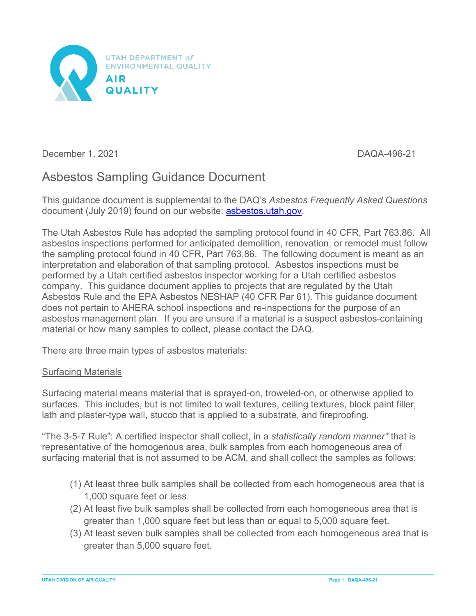

December 1, 2021 and 2011 and 2012 and 2013 and 2014 and 2014 and 2014 and 2014 and 2014 and 2014 and 2014 and 2014 and 2014 and 2014 and 2014 and 2014 and 2014 and 2014 and 2014 and 2014 and 2014 and 2014 and 2014 and 201

# Asbestos Sampling Guidance Document

This guidance document is supplemental to the DAQ's *Asbestos Frequently Asked Questions* document (July 2019) found on our website: asbestos.utah.gov.

The Utah Asbestos Rule has adopted the sampling protocol found in 40 CFR, Part 763.86. All asbestos inspections performed for anticipated demolition, renovation, or remodel must follow the sampling protocol found in 40 CFR, Part 763.86. The following document is meant as an interpretation and elaboration of that sampling protocol. Asbestos inspections must be performed by a Utah certified asbestos inspector working for a Utah certified asbestos company. This guidance document applies to projects that are regulated by the Utah Asbestos Rule and the EPA Asbestos NESHAP (40 CFR Par 61). This guidance document does not pertain to AHERA school inspections and re-inspections for the purpose of an asbestos management plan. If you are unsure if a material is a suspect asbestos-containing material or how many samples to collect, please contact the DAQ.

There are three main types of asbestos materials:

#### Surfacing Materials

Surfacing material means material that is sprayed-on, troweled-on, or otherwise applied to surfaces. This includes, but is not limited to wall textures, ceiling textures, block paint filler, lath and plaster-type wall, stucco that is applied to a substrate, and fireproofing.

"The 3-5-7 Rule": A certified inspector shall collect, in a *statistically random manner\** that is representative of the homogenous area, bulk samples from each homogeneous area of surfacing material that is not assumed to be ACM, and shall collect the samples as follows:

- (1) At least three bulk samples shall be collected from each homogeneous area that is 1,000 square feet or less.
- (2) At least five bulk samples shall be collected from each homogeneous area that is greater than 1,000 square feet but less than or equal to 5,000 square feet.
- (3) At least seven bulk samples shall be collected from each homogeneous area that is greater than 5,000 square feet.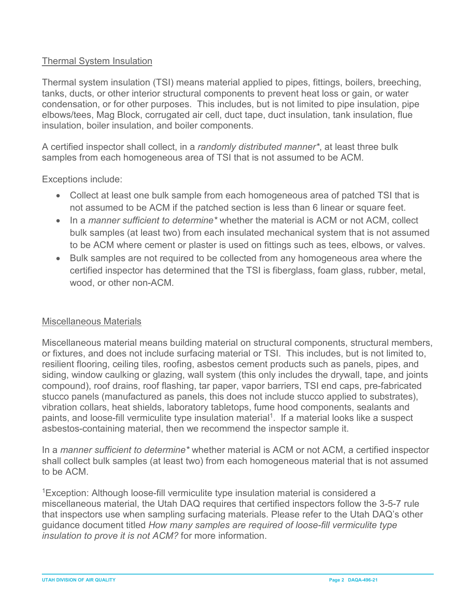# Thermal System Insulation

Thermal system insulation (TSI) means material applied to pipes, fittings, boilers, breeching, tanks, ducts, or other interior structural components to prevent heat loss or gain, or water condensation, or for other purposes. This includes, but is not limited to pipe insulation, pipe elbows/tees, Mag Block, corrugated air cell, duct tape, duct insulation, tank insulation, flue insulation, boiler insulation, and boiler components.

A certified inspector shall collect, in a *randomly distributed manner\**, at least three bulk samples from each homogeneous area of TSI that is not assumed to be ACM.

Exceptions include:

- Collect at least one bulk sample from each homogeneous area of patched TSI that is not assumed to be ACM if the patched section is less than 6 linear or square feet.
- In a *manner sufficient to determine\** whether the material is ACM or not ACM, collect bulk samples (at least two) from each insulated mechanical system that is not assumed to be ACM where cement or plaster is used on fittings such as tees, elbows, or valves.
- Bulk samples are not required to be collected from any homogeneous area where the certified inspector has determined that the TSI is fiberglass, foam glass, rubber, metal, wood, or other non-ACM.

#### Miscellaneous Materials

Miscellaneous material means building material on structural components, structural members, or fixtures, and does not include surfacing material or TSI. This includes, but is not limited to, resilient flooring, ceiling tiles, roofing, asbestos cement products such as panels, pipes, and siding, window caulking or glazing, wall system (this only includes the drywall, tape, and joints compound), roof drains, roof flashing, tar paper, vapor barriers, TSI end caps, pre-fabricated stucco panels (manufactured as panels, this does not include stucco applied to substrates), vibration collars, heat shields, laboratory tabletops, fume hood components, sealants and paints, and loose-fill vermiculite type insulation material<sup>1</sup>. If a material looks like a suspect asbestos-containing material, then we recommend the inspector sample it.

In a *manner sufficient to determine\** whether material is ACM or not ACM, a certified inspector shall collect bulk samples (at least two) from each homogeneous material that is not assumed to be ACM.

<sup>1</sup>Exception: Although loose-fill vermiculite type insulation material is considered a miscellaneous material, the Utah DAQ requires that certified inspectors follow the 3-5-7 rule that inspectors use when sampling surfacing materials. Please refer to the Utah DAQ's other guidance document titled *How many samples are required of loose-fill vermiculite type insulation to prove it is not ACM?* for more information.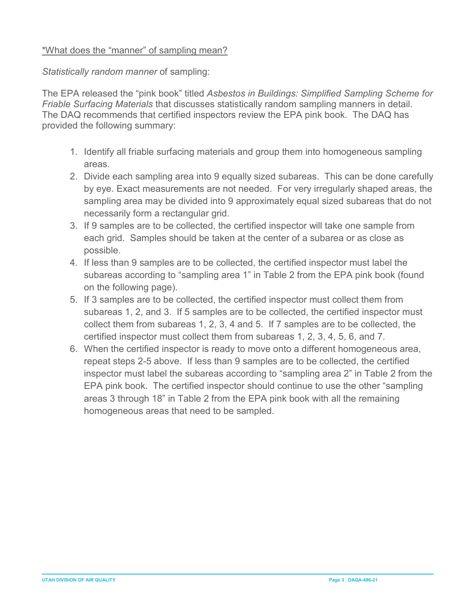# \*What does the "manner" of sampling mean?

## *Statistically random manner* of sampling:

The EPA released the "pink book" titled *Asbestos in Buildings: Simplified Sampling Scheme for Friable Surfacing Materials* that discusses statistically random sampling manners in detail. The DAQ recommends that certified inspectors review the EPA pink book. The DAQ has provided the following summary:

- 1. Identify all friable surfacing materials and group them into homogeneous sampling areas.
- 2. Divide each sampling area into 9 equally sized subareas. This can be done carefully by eye. Exact measurements are not needed. For very irregularly shaped areas, the sampling area may be divided into 9 approximately equal sized subareas that do not necessarily form a rectangular grid.
- 3. If 9 samples are to be collected, the certified inspector will take one sample from each grid. Samples should be taken at the center of a subarea or as close as possible.
- 4. If less than 9 samples are to be collected, the certified inspector must label the subareas according to "sampling area 1" in Table 2 from the EPA pink book (found on the following page).
- 5. If 3 samples are to be collected, the certified inspector must collect them from subareas 1, 2, and 3. If 5 samples are to be collected, the certified inspector must collect them from subareas 1, 2, 3, 4 and 5. If 7 samples are to be collected, the certified inspector must collect them from subareas 1, 2, 3, 4, 5, 6, and 7.
- 6. When the certified inspector is ready to move onto a different homogeneous area, repeat steps 2-5 above. If less than 9 samples are to be collected, the certified inspector must label the subareas according to "sampling area 2" in Table 2 from the EPA pink book. The certified inspector should continue to use the other "sampling areas 3 through 18" in Table 2 from the EPA pink book with all the remaining homogeneous areas that need to be sampled.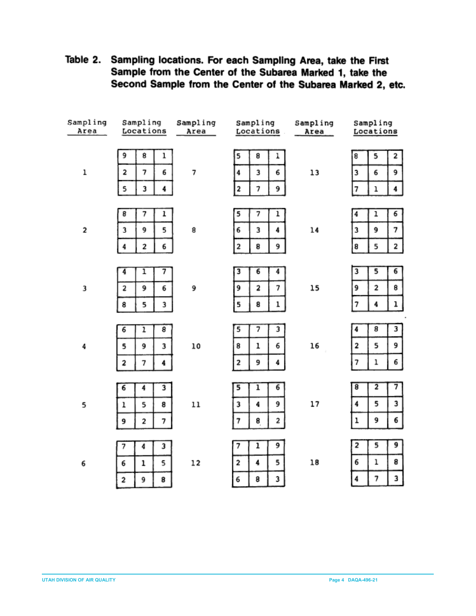| Sampling | Sampling              | Sampling | Sampling                 | Sampling | Sampling  |                     |
|----------|-----------------------|----------|--------------------------|----------|-----------|---------------------|
| Area     | Locations             | Area     | Locations                | Area     | Locations |                     |
|          |                       |          |                          |          |           |                     |
| ı        | 9<br>8<br>ı           | 7        | 8<br>5<br>ı              | 13       | 5<br>8    | 2                   |
|          | 2<br>7<br>6           |          | 3<br>6<br>4              |          | 3<br>6    | 9                   |
|          | 4<br>5<br>3           |          | 9<br>2<br>7              |          | 7<br>ı    | 4                   |
|          |                       |          |                          |          |           |                     |
| 2        | 8<br>7<br>ı           | 8        | 5<br>7<br>ı              | 14       | 4         | ı<br>6              |
|          | 5<br>3<br>9           |          | 3<br>4<br>6              |          | 3         | 7<br>9              |
|          | 2<br>6<br>4           |          | 2<br>9<br>8              |          | 8         | 5<br>2              |
|          |                       |          |                          |          |           |                     |
| 3        | 1<br>7<br>4           | 9        | $\overline{6}$<br>3<br>4 | 15       | 3         | 5<br>6              |
|          | 9<br>6<br>2           |          | 7<br>2<br>9              |          | 9         | 2<br>8              |
|          | 8<br>5<br>3           |          | 5<br>8<br>ı              |          | 7         | ı<br>4              |
|          |                       |          |                          |          |           |                     |
| 4        | 8<br>ı<br>6           | 10       | 5<br>7<br>3              | 16       | 4         | 8<br>3              |
|          | 9<br>3<br>5           |          | 6<br>ı<br>8              |          | 2         | 5<br>9              |
|          | 7<br>2<br>4           |          | 4<br>9<br>2              |          | 7         | ı<br>6              |
|          |                       |          |                          |          |           |                     |
| 5        | 3<br>6<br>4           | 11       | ī<br>6<br>5              | 17       | 8         | $\overline{2}$<br>7 |
|          | 5<br>8<br>ı           |          | 9<br>3<br>4              |          | 4         | 5<br>3              |
|          | 2<br>7<br>9           |          | 2<br>8<br>7              |          | ı         | 9<br>6              |
|          |                       |          |                          |          |           |                     |
| 6        | 3<br>4<br>7           | 12       | 9<br>1<br>7              | 18       | 2         | 5<br>9              |
|          | $\mathbf 1$<br>5<br>6 |          | 5<br>4<br>2              |          | 6         | ı<br>8              |
|          | 2<br>9<br>8           |          | 6<br>8<br>3              |          | 4         | 3<br>7              |
|          |                       |          |                          |          |           |                     |

Table 2. Sampling locations. For each Sampling Area, take the First Sample from the Center of the Subarea Marked 1, take the Second Sample from the Center of the Subarea Marked 2, etc.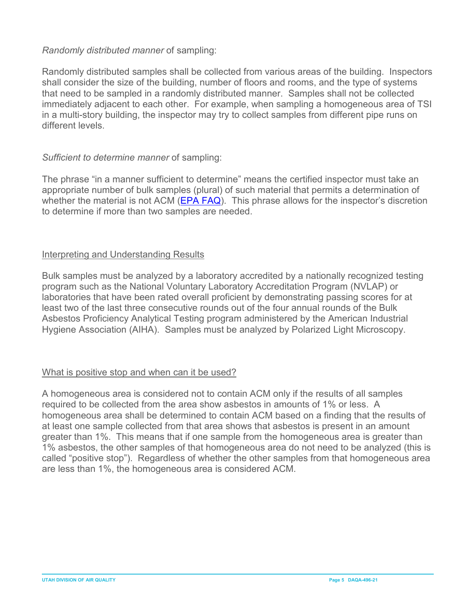#### *Randomly distributed manner* of sampling:

Randomly distributed samples shall be collected from various areas of the building. Inspectors shall consider the size of the building, number of floors and rooms, and the type of systems that need to be sampled in a randomly distributed manner. Samples shall not be collected immediately adjacent to each other. For example, when sampling a homogeneous area of TSI in a multi-story building, the inspector may try to collect samples from different pipe runs on different levels.

# *Sufficient to determine manner* of sampling:

The phrase "in a manner sufficient to determine" means the certified inspector must take an appropriate number of bulk samples (plural) of such material that permits a determination of whether the material is not ACM [\(EPA FAQ\)](https://www.epa.gov/asbestos/please-define-term-nonfriable-suspected-acbm-also-what-does-term-manner-sufficient). This phrase allows for the inspector's discretion to determine if more than two samples are needed.

# Interpreting and Understanding Results

Bulk samples must be analyzed by a laboratory accredited by a nationally recognized testing program such as the National Voluntary Laboratory Accreditation Program (NVLAP) or laboratories that have been rated overall proficient by demonstrating passing scores for at least two of the last three consecutive rounds out of the four annual rounds of the Bulk Asbestos Proficiency Analytical Testing program administered by the American Industrial Hygiene Association (AIHA). Samples must be analyzed by Polarized Light Microscopy.

#### What is positive stop and when can it be used?

A homogeneous area is considered not to contain ACM only if the results of all samples required to be collected from the area show asbestos in amounts of 1% or less. A homogeneous area shall be determined to contain ACM based on a finding that the results of at least one sample collected from that area shows that asbestos is present in an amount greater than 1%. This means that if one sample from the homogeneous area is greater than 1% asbestos, the other samples of that homogeneous area do not need to be analyzed (this is called "positive stop"). Regardless of whether the other samples from that homogeneous area are less than 1%, the homogeneous area is considered ACM.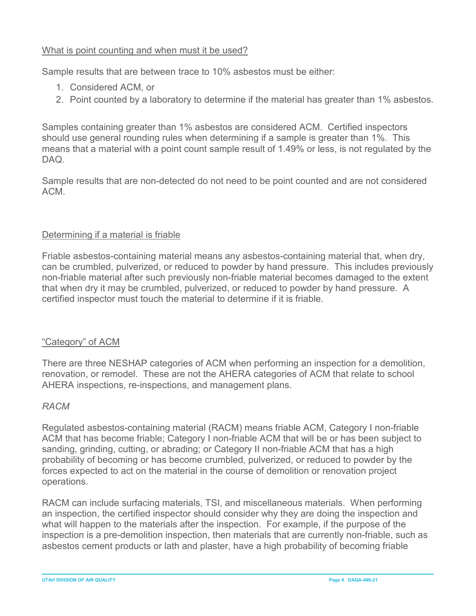# What is point counting and when must it be used?

Sample results that are between trace to 10% asbestos must be either:

- 1. Considered ACM, or
- 2. Point counted by a laboratory to determine if the material has greater than 1% asbestos.

Samples containing greater than 1% asbestos are considered ACM. Certified inspectors should use general rounding rules when determining if a sample is greater than 1%. This means that a material with a point count sample result of 1.49% or less, is not regulated by the DAQ.

Sample results that are non-detected do not need to be point counted and are not considered ACM.

#### Determining if a material is friable

Friable asbestos-containing material means any asbestos-containing material that, when dry, can be crumbled, pulverized, or reduced to powder by hand pressure. This includes previously non-friable material after such previously non-friable material becomes damaged to the extent that when dry it may be crumbled, pulverized, or reduced to powder by hand pressure. A certified inspector must touch the material to determine if it is friable.

#### "Category" of ACM

There are three NESHAP categories of ACM when performing an inspection for a demolition, renovation, or remodel. These are not the AHERA categories of ACM that relate to school AHERA inspections, re-inspections, and management plans.

#### *RACM*

Regulated asbestos-containing material (RACM) means friable ACM, Category I non-friable ACM that has become friable; Category I non-friable ACM that will be or has been subject to sanding, grinding, cutting, or abrading; or Category II non-friable ACM that has a high probability of becoming or has become crumbled, pulverized, or reduced to powder by the forces expected to act on the material in the course of demolition or renovation project operations.

RACM can include surfacing materials, TSI, and miscellaneous materials. When performing an inspection, the certified inspector should consider why they are doing the inspection and what will happen to the materials after the inspection. For example, if the purpose of the inspection is a pre-demolition inspection, then materials that are currently non-friable, such as asbestos cement products or lath and plaster, have a high probability of becoming friable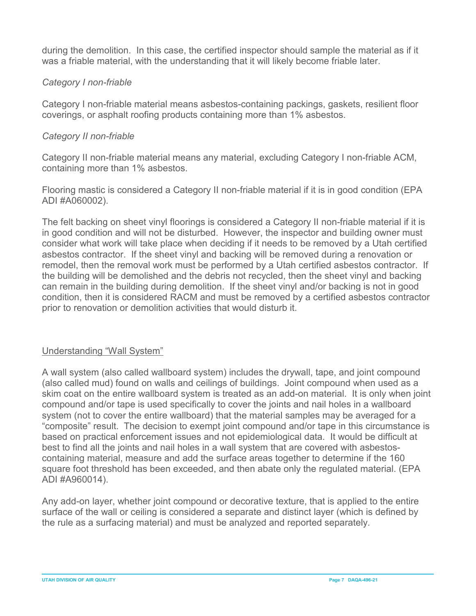during the demolition. In this case, the certified inspector should sample the material as if it was a friable material, with the understanding that it will likely become friable later.

# *Category I non-friable*

Category I non-friable material means asbestos-containing packings, gaskets, resilient floor coverings, or asphalt roofing products containing more than 1% asbestos.

## *Category II non-friable*

Category II non-friable material means any material, excluding Category I non-friable ACM, containing more than 1% asbestos.

Flooring mastic is considered a Category II non-friable material if it is in good condition (EPA ADI #A060002).

The felt backing on sheet vinyl floorings is considered a Category II non-friable material if it is in good condition and will not be disturbed. However, the inspector and building owner must consider what work will take place when deciding if it needs to be removed by a Utah certified asbestos contractor. If the sheet vinyl and backing will be removed during a renovation or remodel, then the removal work must be performed by a Utah certified asbestos contractor. If the building will be demolished and the debris not recycled, then the sheet vinyl and backing can remain in the building during demolition. If the sheet vinyl and/or backing is not in good condition, then it is considered RACM and must be removed by a certified asbestos contractor prior to renovation or demolition activities that would disturb it.

#### Understanding "Wall System"

A wall system (also called wallboard system) includes the drywall, tape, and joint compound (also called mud) found on walls and ceilings of buildings. Joint compound when used as a skim coat on the entire wallboard system is treated as an add-on material. It is only when joint compound and/or tape is used specifically to cover the joints and nail holes in a wallboard system (not to cover the entire wallboard) that the material samples may be averaged for a "composite" result. The decision to exempt joint compound and/or tape in this circumstance is based on practical enforcement issues and not epidemiological data. It would be difficult at best to find all the joints and nail holes in a wall system that are covered with asbestoscontaining material, measure and add the surface areas together to determine if the 160 square foot threshold has been exceeded, and then abate only the regulated material. (EPA ADI #A960014).

Any add-on layer, whether joint compound or decorative texture, that is applied to the entire surface of the wall or ceiling is considered a separate and distinct layer (which is defined by the rule as a surfacing material) and must be analyzed and reported separately.